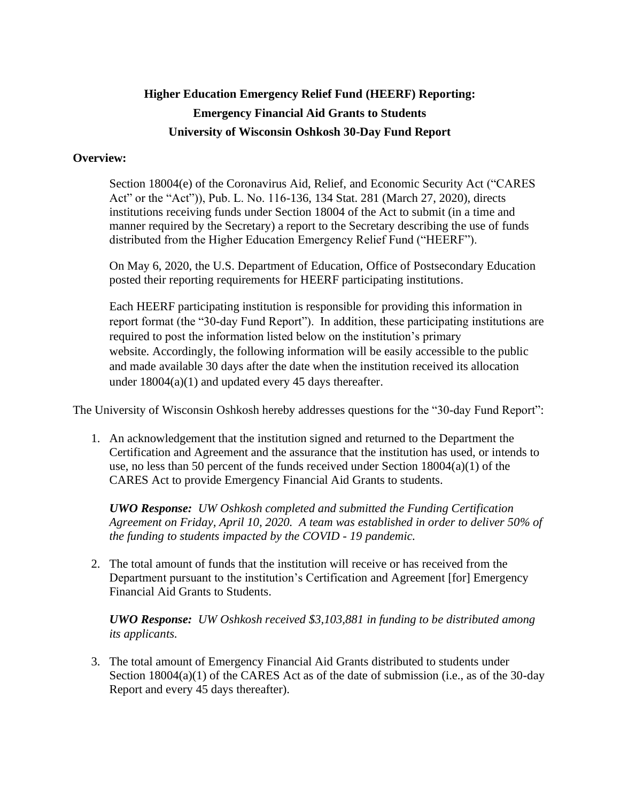## **Higher Education Emergency Relief Fund (HEERF) Reporting: Emergency Financial Aid Grants to Students University of Wisconsin Oshkosh 30-Day Fund Report**

## **Overview:**

Section 18004(e) of the Coronavirus Aid, Relief, and Economic Security Act ("CARES Act" or the "Act")), Pub. L. No. 116-136, 134 Stat. 281 (March 27, 2020), directs institutions receiving funds under Section 18004 of the Act to submit (in a time and manner required by the Secretary) a report to the Secretary describing the use of funds distributed from the Higher Education Emergency Relief Fund ("HEERF").

On May 6, 2020, the U.S. Department of Education, Office of Postsecondary Education posted their reporting requirements for HEERF participating institutions.

Each HEERF participating institution is responsible for providing this information in report format (the "30-day Fund Report"). In addition, these participating institutions are required to post the information listed below on the institution's primary website. Accordingly, the following information will be easily accessible to the public and made available 30 days after the date when the institution received its allocation under  $18004(a)(1)$  and updated every 45 days thereafter.

The University of Wisconsin Oshkosh hereby addresses questions for the "30-day Fund Report":

1. An acknowledgement that the institution signed and returned to the Department the Certification and Agreement and the assurance that the institution has used, or intends to use, no less than 50 percent of the funds received under Section  $18004(a)(1)$  of the CARES Act to provide Emergency Financial Aid Grants to students.

*UWO Response: UW Oshkosh completed and submitted the Funding Certification Agreement on Friday, April 10, 2020. A team was established in order to deliver 50% of the funding to students impacted by the COVID - 19 pandemic.*

2. The total amount of funds that the institution will receive or has received from the Department pursuant to the institution's Certification and Agreement [for] Emergency Financial Aid Grants to Students.

*UWO Response: UW Oshkosh received \$3,103,881 in funding to be distributed among its applicants.*

3. The total amount of Emergency Financial Aid Grants distributed to students under Section  $18004(a)(1)$  of the CARES Act as of the date of submission (i.e., as of the 30-day Report and every 45 days thereafter).